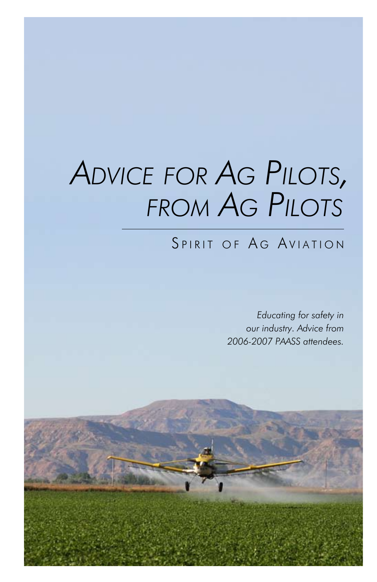# *Advice for Ag Pilots, from Ag Pilots*

# SPIRIT OF AG AVIATION

*Educating for safety in our industry. Advice from 2006-2007 PAASS attendees.*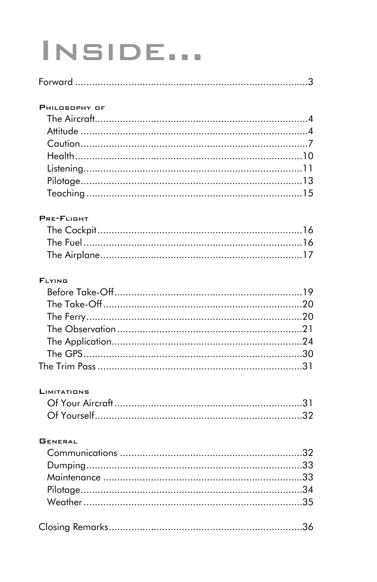# INSIDE...

#### PHILOSOPHY OF

#### PRE-FLIGHT

#### **FLYING**

#### **LIMITATIONS**

#### **GENERAL**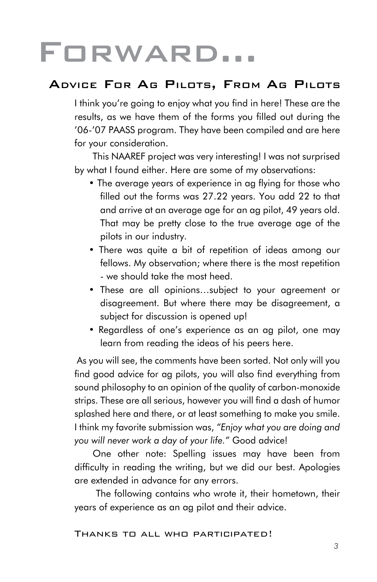# Forward…

## Advice For Ag Pilots, From Ag Pilots

I think you're going to enjoy what you find in here! These are the results, as we have them of the forms you filled out during the '06-'07 PAASS program. They have been compiled and are here for your consideration.

This NAAREF project was very interesting! I was not surprised by what I found either. Here are some of my observations:

- The average years of experience in ag flying for those who filled out the forms was 27.22 years. You add 22 to that and arrive at an average age for an ag pilot, 49 years old. That may be pretty close to the true average age of the pilots in our industry.
- There was quite a bit of repetition of ideas among our fellows. My observation; where there is the most repetition - we should take the most heed.
- These are all opinions…subject to your agreement or disagreement. But where there may be disagreement, a subject for discussion is opened up!
- Regardless of one's experience as an ag pilot, one may learn from reading the ideas of his peers here.

 As you will see, the comments have been sorted. Not only will you find good advice for ag pilots, you will also find everything from sound philosophy to an opinion of the quality of carbon-monoxide strips. These are all serious, however you will find a dash of humor splashed here and there, or at least something to make you smile. I think my favorite submission was, *"Enjoy what you are doing and you will never work a day of your life."* Good advice!

One other note: Spelling issues may have been from difficulty in reading the writing, but we did our best. Apologies are extended in advance for any errors.

 The following contains who wrote it, their hometown, their years of experience as an ag pilot and their advice.

#### Thanks to all who participated!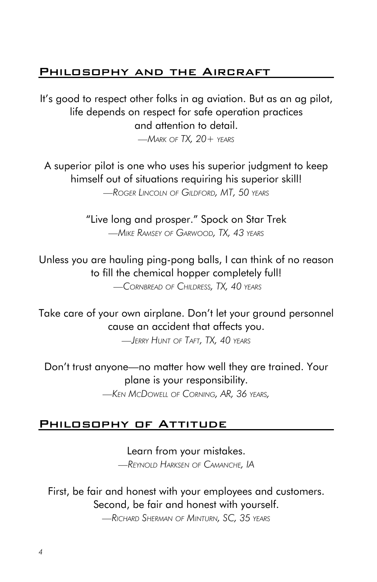### PHILOSOPHY AND THE AIRCRAFT

It's good to respect other folks in ag aviation. But as an ag pilot, life depends on respect for safe operation practices and attention to detail.

*—Mark of TX, 20+ years*

A superior pilot is one who uses his superior judgment to keep himself out of situations requiring his superior skill! *—Roger Lincoln of Gildford, MT, 50 years*

> "Live long and prosper." Spock on Star Trek *—Mike Ramsey of Garwood, TX, 43 years*

Unless you are hauling ping-pong balls, I can think of no reason to fill the chemical hopper completely full!

 *—Cornbread of Childress, TX, 40 years*

Take care of your own airplane. Don't let your ground personnel cause an accident that affects you.

*—Jerry Hunt of Taft, TX, 40 years*

Don't trust anyone—no matter how well they are trained. Your plane is your responsibility.

*—Ken McDowell of Corning, AR, 36 years,* 

#### PHILOSOPHY OF ATTITUDE

Learn from your mistakes. *—Reynold Harksen of Camanche, IA*

First, be fair and honest with your employees and customers. Second, be fair and honest with yourself.

*—Richard Sherman of Minturn, SC, 35 years*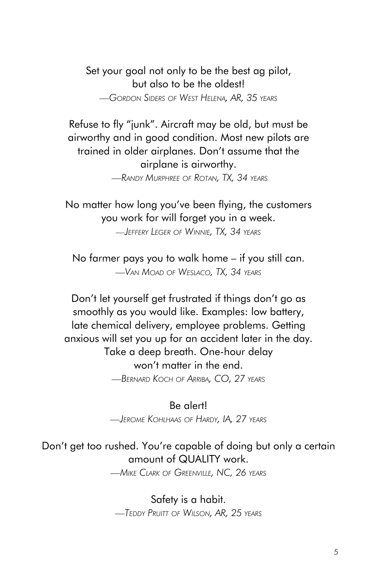Set your goal not only to be the best ag pilot, but also to be the oldest! *—Gordon Siders of West Helena, AR, 35 years*

Refuse to fly "junk". Aircraft may be old, but must be airworthy and in good condition. Most new pilots are trained in older airplanes. Don't assume that the airplane is airworthy.

 *—Randy Murphree of Rotan, TX, 34 years*

No matter how long you've been flying, the customers you work for will forget you in a week. *—Jeffery Leger of Winnie, TX, 34 years*

No farmer pays you to walk home – if you still can. *—Van Moad of Weslaco, TX, 34 years*

Don't let yourself get frustrated if things don't go as smoothly as you would like. Examples: low battery, late chemical delivery, employee problems. Getting anxious will set you up for an accident later in the day. Take a deep breath. One-hour delay won't matter in the end. *—Bernard Koch of Arriba, CO, 27 years*

Be alert!

*—Jerome Kohlhaas of Hardy, IA, 27 years*

## Don't get too rushed. You're capable of doing but only a certain amount of QUALITY work.

*—Mike Clark of Greenville, NC, 26 years*

Safety is a habit. *—Teddy Pruitt of Wilson, AR, 25 years*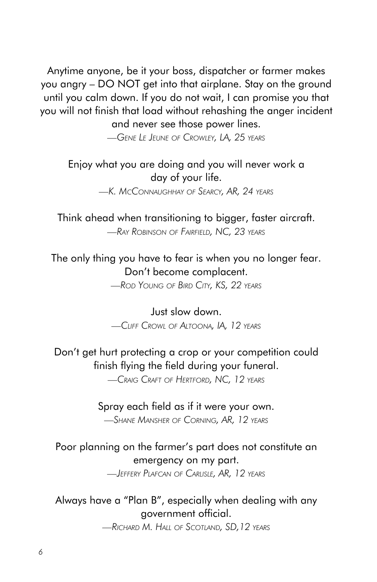Anytime anyone, be it your boss, dispatcher or farmer makes you angry – DO NOT get into that airplane. Stay on the ground until you calm down. If you do not wait, I can promise you that you will not finish that load without rehashing the anger incident and never see those power lines.

*—Gene Le Jeune of Crowley, LA, 25 years*

## Enjoy what you are doing and you will never work a day of your life.

*—K. McConnaughhay of Searcy, AR, 24 years*

Think ahead when transitioning to bigger, faster aircraft. *—Ray Robinson of Fairfield, NC, 23 years*

The only thing you have to fear is when you no longer fear. Don't become complacent.

*—Rod Young of Bird City, KS, 22 years*

Just slow down. *—Cliff Crowl of Altoona, IA, 12 years*

## Don't get hurt protecting a crop or your competition could finish flying the field during your funeral.

*—Craig Craft of Hertford, NC, 12 years*

#### Spray each field as if it were your own.

*—Shane Mansher of Corning, AR, 12 years*

## Poor planning on the farmer's part does not constitute an emergency on my part.

*—Jeffery Plafcan of Carlisle, AR, 12 years*

## Always have a "Plan B", especially when dealing with any government official.

*—Richard M. Hall of Scotland, SD,12 years*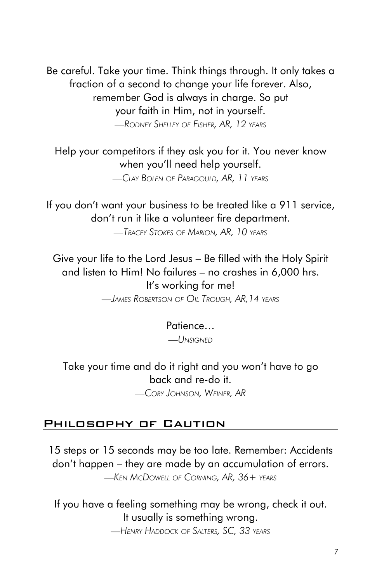Be careful. Take your time. Think things through. It only takes a fraction of a second to change your life forever. Also, remember God is always in charge. So put your faith in Him, not in yourself. *—Rodney Shelley of Fisher, AR, 12 years*

Help your competitors if they ask you for it. You never know when you'll need help yourself.

*—Clay Bolen of Paragould, AR, 11 years*

If you don't want your business to be treated like a 911 service, don't run it like a volunteer fire department.

*—Tracey Stokes of Marion, AR, 10 years*

Give your life to the Lord Jesus – Be filled with the Holy Spirit and listen to Him! No failures – no crashes in 6,000 hrs. It's working for me!

*—James Robertson of Oil Trough, AR,14 years*

#### Patience…

*—Unsigned*

Take your time and do it right and you won't have to go back and re-do it.

*—Cory Johnson, Weiner, AR*

#### Philosophy of Caution

15 steps or 15 seconds may be too late. Remember: Accidents don't happen – they are made by an accumulation of errors. *—Ken McDowell of Corning, AR, 36+ years*

If you have a feeling something may be wrong, check it out. It usually is something wrong.

*—Henry Haddock of Salters, SC, 33 years*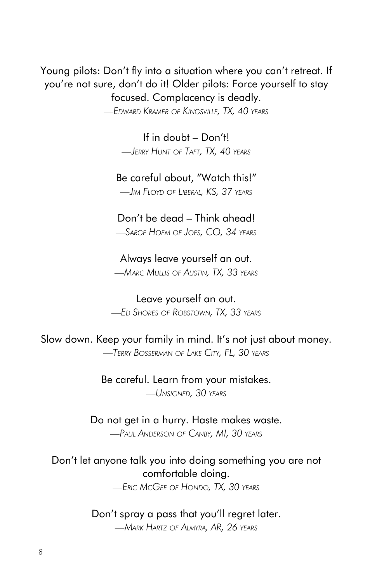Young pilots: Don't fly into a situation where you can't retreat. If you're not sure, don't do it! Older pilots: Force yourself to stay focused. Complacency is deadly.

*—Edward Kramer of Kingsville, TX, 40 years*

If in doubt – Don't! *—Jerry Hunt of Taft, TX, 40 years*

Be careful about, "Watch this!" *—Jim Floyd of Liberal, KS, 37 years*

Don't be dead – Think ahead! *—Sarge Hoem of Joes, CO, 34 years*

Always leave yourself an out. *—Marc Mullis of Austin, TX, 33 years*

Leave yourself an out. *—Ed Shores of Robstown, TX, 33 years*

Slow down. Keep your family in mind. It's not just about money. *—Terry Bosserman of Lake City, FL, 30 years*

> Be careful. Learn from your mistakes. *—Unsigned, 30 years*

Do not get in a hurry. Haste makes waste. *—Paul Anderson of Canby, MI, 30 years*

Don't let anyone talk you into doing something you are not comfortable doing.

*—Eric McGee of Hondo, TX, 30 years*

Don't spray a pass that you'll regret later.

*—Mark Hartz of Almyra, AR, 26 years*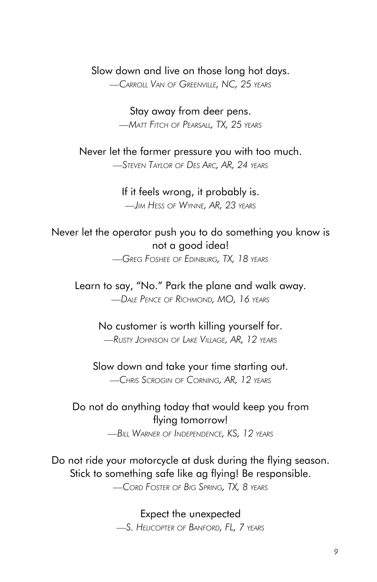#### Slow down and live on those long hot days.

*—Carroll Van of Greenville, NC, 25 years*

Stay away from deer pens. *—Matt Fitch of Pearsall, TX, 25 years*

Never let the farmer pressure you with too much. *—Steven Taylor of Des Arc, AR, 24 years*

> If it feels wrong, it probably is. *—Jim Hess of Wynne, AR, 23 years*

Never let the operator push you to do something you know is not a good idea!

*—Greg Foshee of Edinburg, TX, 18 years*

Learn to say, "No." Park the plane and walk away. *—Dale Pence of Richmond, MO, 16 years*

> No customer is worth killing yourself for. *—Rusty Johnson of Lake Village, AR, 12 years*

Slow down and take your time starting out. *—Chris Scrogin of Corning, AR, 12 years*

Do not do anything today that would keep you from flying tomorrow! *—Bill Warner of Independence, KS, 12 years*

Do not ride your motorcycle at dusk during the flying season. Stick to something safe like ag flying! Be responsible. *—Cord Foster of Big Spring, TX, 8 years*

> Expect the unexpected *—S. Helicopter of Banford, FL, 7 years*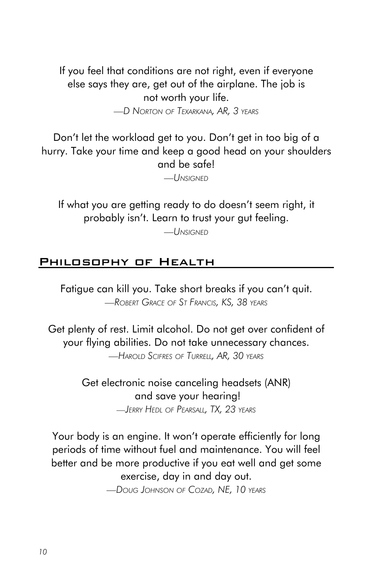If you feel that conditions are not right, even if everyone else says they are, get out of the airplane. The job is not worth your life.

*—D Norton of Texarkana, AR, 3 years*

Don't let the workload get to you. Don't get in too big of a hurry. Take your time and keep a good head on your shoulders and be safe!

*—Unsigned*

If what you are getting ready to do doesn't seem right, it probably isn't. Learn to trust your gut feeling.

*—Unsigned*

#### Philosophy of Health

Fatigue can kill you. Take short breaks if you can't quit. *—Robert Grace of St Francis, KS, 38 years*

Get plenty of rest. Limit alcohol. Do not get over confident of your flying abilities. Do not take unnecessary chances.

*—Harold Scifres of Turrell, AR, 30 years*

Get electronic noise canceling headsets (ANR) and save your hearing! *—Jerry Hedl of Pearsall, TX, 23 years*

Your body is an engine. It won't operate efficiently for long periods of time without fuel and maintenance. You will feel better and be more productive if you eat well and get some exercise, day in and day out. *—Doug Johnson of Cozad, NE, 10 years*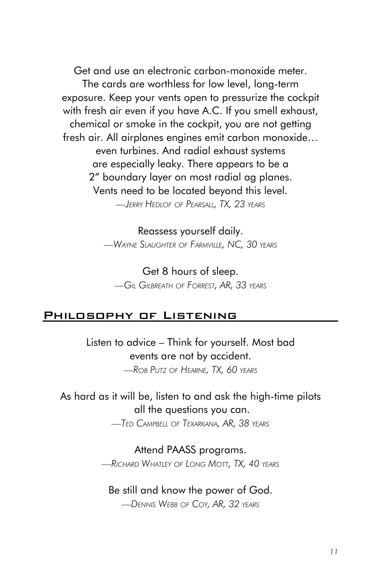Get and use an electronic carbon-monoxide meter. The cards are worthless for low level, long-term exposure. Keep your vents open to pressurize the cockpit with fresh air even if you have A.C. If you smell exhaust, chemical or smoke in the cockpit, you are not getting fresh air. All airplanes engines emit carbon monoxide… even turbines. And radial exhaust systems are especially leaky. There appears to be a 2" boundary layer on most radial ag planes. Vents need to be located beyond this level. *—Jerry Hedlof of Pearsall, TX, 23 years*

> Reassess yourself daily. *—Wayne Slaughter of Farmville, NC, 30 years*

Get 8 hours of sleep. *—Gil Gilbreath of Forrest, AR, 33 years*

#### Philosophy of Listening

Listen to advice – Think for yourself. Most bad events are not by accident. *—Rob Putz of Hearne, TX, 60 years*

As hard as it will be, listen to and ask the high-time pilots all the questions you can.

*—Ted Campbell of Texarkana, AR, 38 years*

## Attend PAASS programs.

*—Richard Whatley of Long Mott, TX, 40 years*

#### Be still and know the power of God.

*—Dennis Webb of Coy, AR, 32 years*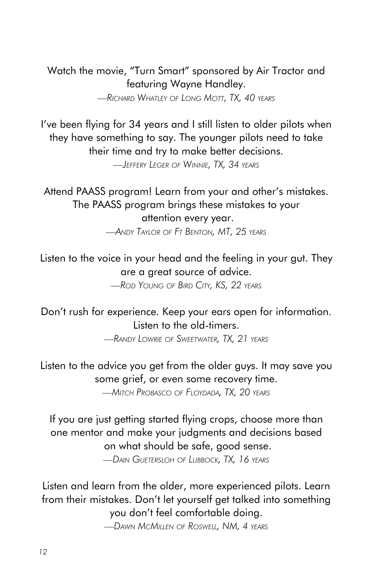Watch the movie, "Turn Smart" sponsored by Air Tractor and featuring Wayne Handley.

*—Richard Whatley of Long Mott, TX, 40 years*

I've been flying for 34 years and I still listen to older pilots when they have something to say. The younger pilots need to take their time and try to make better decisions.

*—Jeffery Leger of Winnie, TX, 34 years*

Attend PAASS program! Learn from your and other's mistakes. The PAASS program brings these mistakes to your attention every year. *—Andy Taylor of Ft Benton, MT, 25 years*

Listen to the voice in your head and the feeling in your gut. They are a great source of advice.

*—Rod Young of Bird City, KS, 22 years*

Don't rush for experience. Keep your ears open for information. Listen to the old-timers.

*—Randy Lowrie of Sweetwater, TX, 21 years*

Listen to the advice you get from the older guys. It may save you some grief, or even some recovery time.

*—Mitch Probasco of Floydada, TX, 20 years*

If you are just getting started flying crops, choose more than one mentor and make your judgments and decisions based on what should be safe, good sense.

*—Dain Guetersloh of Lubbock, TX, 16 years*

Listen and learn from the older, more experienced pilots. Learn from their mistakes. Don't let yourself get talked into something you don't feel comfortable doing.

*—Dawn McMillen of Roswell, NM, 4 years*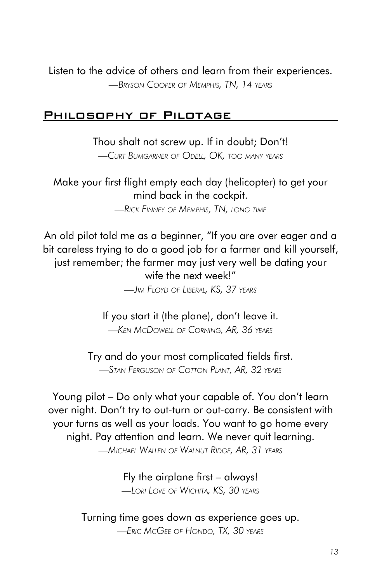Listen to the advice of others and learn from their experiences. *—Bryson Cooper of Memphis, TN, 14 years*

#### Philosophy of Pilotage

Thou shalt not screw up. If in doubt; Don't! *—Curt Bumgarner of Odell, OK, too many years*

Make your first flight empty each day (helicopter) to get your mind back in the cockpit. *—Rick Finney of Memphis, TN, long time*

An old pilot told me as a beginner, "If you are over eager and a bit careless trying to do a good job for a farmer and kill yourself, just remember; the farmer may just very well be dating your wife the next week!"

*—Jim Floyd of Liberal, KS, 37 years*

If you start it (the plane), don't leave it. *—Ken McDowell of Corning, AR, 36 years*

Try and do your most complicated fields first. *—Stan Ferguson of Cotton Plant, AR, 32 years*

Young pilot – Do only what your capable of. You don't learn over night. Don't try to out-turn or out-carry. Be consistent with your turns as well as your loads. You want to go home every night. Pay attention and learn. We never quit learning. *—Michael Wallen of Walnut Ridge, AR, 31 years*

> Fly the airplane first – always! *—Lori Love of Wichita, KS, 30 years*

Turning time goes down as experience goes up. *—Eric McGee of Hondo, TX, 30 years*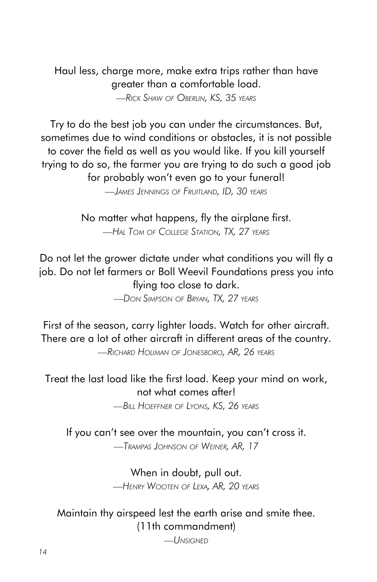Haul less, charge more, make extra trips rather than have greater than a comfortable load. *—Rick Shaw of Oberlin, KS, 35 years*

Try to do the best job you can under the circumstances. But, sometimes due to wind conditions or obstacles, it is not possible to cover the field as well as you would like. If you kill yourself trying to do so, the farmer you are trying to do such a good job for probably won't even go to your funeral!

*—James Jennings of Fruitland, ID, 30 years*

No matter what happens, fly the airplane first. *—Hal Tom of College Station, TX, 27 years*

Do not let the grower dictate under what conditions you will fly a job. Do not let farmers or Boll Weevil Foundations press you into flying too close to dark.

*—Don Simpson of Bryan, TX, 27 years*

First of the season, carry lighter loads. Watch for other aircraft. There are a lot of other aircraft in different areas of the country. *—Richard Holiman of Jonesboro, AR, 26 years*

Treat the last load like the first load. Keep your mind on work, not what comes after!

*—Bill Hoeffner of Lyons, KS, 26 years*

If you can't see over the mountain, you can't cross it. *—Trampas Johnson of Weiner, AR, 17*

> When in doubt, pull out. *—Henry Wooten of Lexa, AR, 20 years*

Maintain thy airspeed lest the earth arise and smite thee. (11th commandment)

*—Unsigned*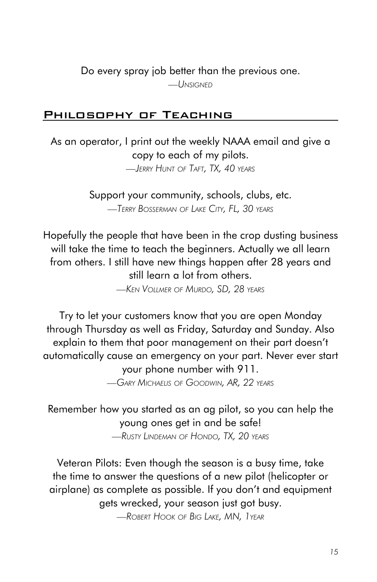Do every spray job better than the previous one.

*—Unsigned*

### Philosophy of Teaching

As an operator, I print out the weekly NAAA email and give a copy to each of my pilots.

*—Jerry Hunt of Taft, TX, 40 years*

Support your community, schools, clubs, etc. *—Terry Bosserman of Lake City, FL, 30 years*

Hopefully the people that have been in the crop dusting business will take the time to teach the beginners. Actually we all learn from others. I still have new things happen after 28 years and still learn a lot from others.

*—Ken Vollmer of Murdo, SD, 28 years*

Try to let your customers know that you are open Monday through Thursday as well as Friday, Saturday and Sunday. Also explain to them that poor management on their part doesn't automatically cause an emergency on your part. Never ever start your phone number with 911.

*—Gary Michaelis of Goodwin, AR, 22 years*

Remember how you started as an ag pilot, so you can help the young ones get in and be safe! *—Rusty Lindeman of Hondo, TX, 20 years*

Veteran Pilots: Even though the season is a busy time, take the time to answer the questions of a new pilot (helicopter or airplane) as complete as possible. If you don't and equipment gets wrecked, your season just got busy.

*—Robert Hook of Big Lake, MN, 1year*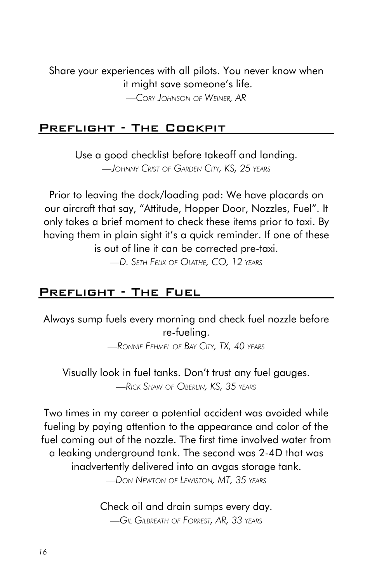Share your experiences with all pilots. You never know when it might save someone's life.

*—Cory Johnson of Weiner, AR*

#### Preflight - The Cockpit

Use a good checklist before takeoff and landing.

*—Johnny Crist of Garden City, KS, 25 years*

Prior to leaving the dock/loading pad: We have placards on our aircraft that say, "Attitude, Hopper Door, Nozzles, Fuel". It only takes a brief moment to check these items prior to taxi. By having them in plain sight it's a quick reminder. If one of these is out of line it can be corrected pre-taxi.

*—D. Seth Felix of Olathe, CO, 12 years*

## Preflight - The Fuel

Always sump fuels every morning and check fuel nozzle before re-fueling.

*—Ronnie Fehmel of Bay City, TX, 40 years*

Visually look in fuel tanks. Don't trust any fuel gauges. *—Rick Shaw of Oberlin, KS, 35 years*

Two times in my career a potential accident was avoided while fueling by paying attention to the appearance and color of the fuel coming out of the nozzle. The first time involved water from a leaking underground tank. The second was 2-4D that was inadvertently delivered into an avgas storage tank.

*—Don Newton of Lewiston, MT, 35 years*

Check oil and drain sumps every day. *—Gil Gilbreath of Forrest, AR, 33 years*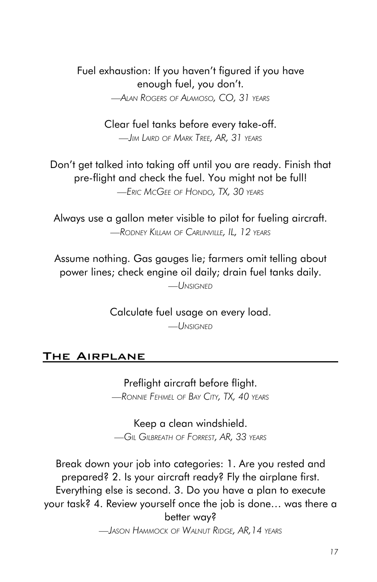Fuel exhaustion: If you haven't figured if you have enough fuel, you don't. *—Alan Rogers of Alamoso, CO, 31 years*

> Clear fuel tanks before every take-off. *—Jim Laird of Mark Tree, AR, 31 years*

Don't get talked into taking off until you are ready. Finish that pre-flight and check the fuel. You might not be full! *—Eric McGee of Hondo, TX, 30 years*

Always use a gallon meter visible to pilot for fueling aircraft. *—Rodney Killam of Carlinville, IL, 12 years*

Assume nothing. Gas gauges lie; farmers omit telling about power lines; check engine oil daily; drain fuel tanks daily.

*—Unsigned*

Calculate fuel usage on every load. *—Unsigned*

## The Airplane

Preflight aircraft before flight. *—Ronnie Fehmel of Bay City, TX, 40 years*

Keep a clean windshield. *—Gil Gilbreath of Forrest, AR, 33 years*

Break down your job into categories: 1. Are you rested and prepared? 2. Is your aircraft ready? Fly the airplane first. Everything else is second. 3. Do you have a plan to execute your task? 4. Review yourself once the job is done… was there a better way?

*—Jason Hammock of Walnut Ridge, AR,14 years*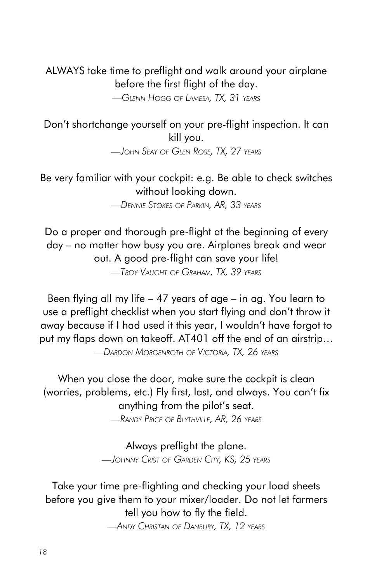ALWAYS take time to preflight and walk around your airplane before the first flight of the day.

*—Glenn Hogg of Lamesa, TX, 31 years*

Don't shortchange yourself on your pre-flight inspection. It can kill you.

*—John Seay of Glen Rose, TX, 27 years*

Be very familiar with your cockpit: e.g. Be able to check switches without looking down.

*—Dennie Stokes of Parkin, AR, 33 years*

Do a proper and thorough pre-flight at the beginning of every day – no matter how busy you are. Airplanes break and wear out. A good pre-flight can save your life! *—Troy Vaught of Graham, TX, 39 years*

Been flying all my life – 47 years of age – in ag. You learn to use a preflight checklist when you start flying and don't throw it away because if I had used it this year, I wouldn't have forgot to put my flaps down on takeoff. AT401 off the end of an airstrip…

*—Dardon Morgenroth of Victoria, TX, 26 years*

When you close the door, make sure the cockpit is clean (worries, problems, etc.) Fly first, last, and always. You can't fix anything from the pilot's seat.

*—Randy Price of Blythville, AR, 26 years*

Always preflight the plane. *—Johnny Crist of Garden City, KS, 25 years*

Take your time pre-flighting and checking your load sheets before you give them to your mixer/loader. Do not let farmers tell you how to fly the field.

*—Andy Christan of Danbury, TX, 12 years*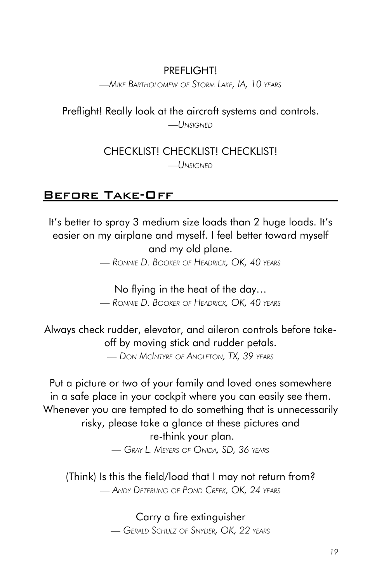## PREFI<sub>IGHTI</sub>

*—Mike Bartholomew of Storm Lake, IA, 10 years*

Preflight! Really look at the aircraft systems and controls.

*—Unsigned*

CHECKLIST! CHECKLIST! CHECKLIST!

*—Unsigned*

## Before Take-Off

It's better to spray 3 medium size loads than 2 huge loads. It's easier on my airplane and myself. I feel better toward myself and my old plane.

*— Ronnie D. Booker of Headrick, OK, 40 years*

No flying in the heat of the day…

*— Ronnie D. Booker of Headrick, OK, 40 years*

Always check rudder, elevator, and aileron controls before takeoff by moving stick and rudder petals.

*— Don McIntyre of Angleton, TX, 39 years*

Put a picture or two of your family and loved ones somewhere in a safe place in your cockpit where you can easily see them. Whenever you are tempted to do something that is unnecessarily risky, please take a glance at these pictures and re-think your plan. *— Gray L. Meyers of Onida, SD, 36 years*

(Think) Is this the field/load that I may not return from? *— Andy Deterling of Pond Creek, OK, 24 years*

> Carry a fire extinguisher *— Gerald Schulz of Snyder, OK, 22 years*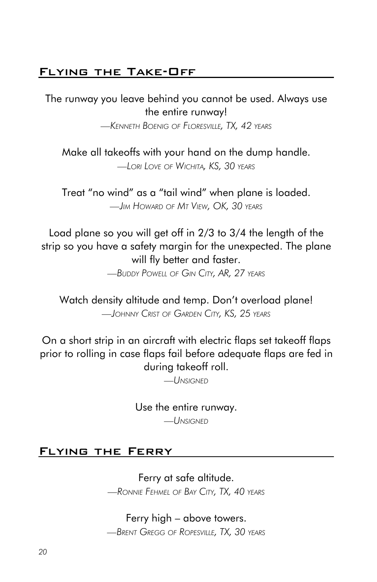## Flying the Take-Off

The runway you leave behind you cannot be used. Always use the entire runway!

*—Kenneth Boenig of Floresville, TX, 42 years*

Make all takeoffs with your hand on the dump handle. *—Lori Love of Wichita, KS, 30 years*

Treat "no wind" as a "tail wind" when plane is loaded. *—Jim Howard of Mt View, OK, 30 years*

Load plane so you will get off in 2/3 to 3/4 the length of the strip so you have a safety margin for the unexpected. The plane will fly better and faster.

*—Buddy Powell of Gin City, AR, 27 years*

Watch density altitude and temp. Don't overload plane! *—Johnny Crist of Garden City, KS, 25 years*

On a short strip in an aircraft with electric flaps set takeoff flaps prior to rolling in case flaps fail before adequate flaps are fed in during takeoff roll.

*—Unsigned*

Use the entire runway.

*—Unsigned*

#### Flying the Ferry

Ferry at safe altitude. *—Ronnie Fehmel of Bay City, TX, 40 years*

Ferry high – above towers. *—Brent Gregg of Ropesville, TX, 30 years*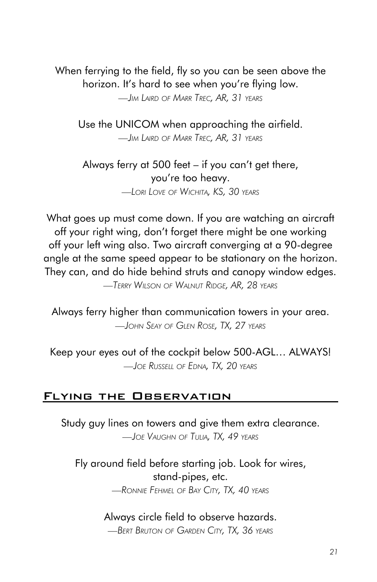When ferrying to the field, fly so you can be seen above the horizon. It's hard to see when you're flying low. *—Jim Laird of Marr Trec, AR, 31 years*

Use the UNICOM when approaching the airfield. *—Jim Laird of Marr Trec, AR, 31 years*

Always ferry at 500 feet – if you can't get there, you're too heavy. *—Lori Love of Wichita, KS, 30 years*

What goes up must come down. If you are watching an aircraft off your right wing, don't forget there might be one working off your left wing also. Two aircraft converging at a 90-degree angle at the same speed appear to be stationary on the horizon. They can, and do hide behind struts and canopy window edges. *—Terry Wilson of Walnut Ridge, AR, 28 years*

Always ferry higher than communication towers in your area. *—John Seay of Glen Rose, TX, 27 years*

Keep your eyes out of the cockpit below 500-AGL… ALWAYS! *—Joe Russell of Edna, TX, 20 years*

#### Flying the Observation

Study guy lines on towers and give them extra clearance. *—Joe Vaughn of Tulia, TX, 49 years*

Fly around field before starting job. Look for wires, stand-pipes, etc.

*—Ronnie Fehmel of Bay City, TX, 40 years*

## Always circle field to observe hazards.

*—Bert Bruton of Garden City, TX, 36 years*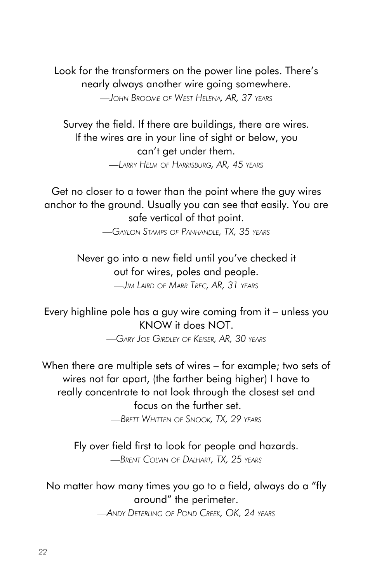Look for the transformers on the power line poles. There's nearly always another wire going somewhere. *—John Broome of West Helena, AR, 37 years*

Survey the field. If there are buildings, there are wires. If the wires are in your line of sight or below, you can't get under them. *—Larry Helm of Harrisburg, AR, 45 years*

Get no closer to a tower than the point where the guy wires anchor to the ground. Usually you can see that easily. You are safe vertical of that point.

*—Gaylon Stamps of Panhandle, TX, 35 years*

Never go into a new field until you've checked it out for wires, poles and people. *—Jim Laird of Marr Trec, AR, 31 years*

Every highline pole has a guy wire coming from it – unless you KNOW it does NOT.

*—Gary Joe Girdley of Keiser, AR, 30 years*

When there are multiple sets of wires – for example; two sets of wires not far apart, (the farther being higher) I have to really concentrate to not look through the closest set and focus on the further set.

*—Brett Whitten of Snook, TX, 29 years*

Fly over field first to look for people and hazards. *—Brent Colvin of Dalhart, TX, 25 years*

## No matter how many times you go to a field, always do a "fly around" the perimeter.

*—Andy Deterling of Pond Creek, OK, 24 years*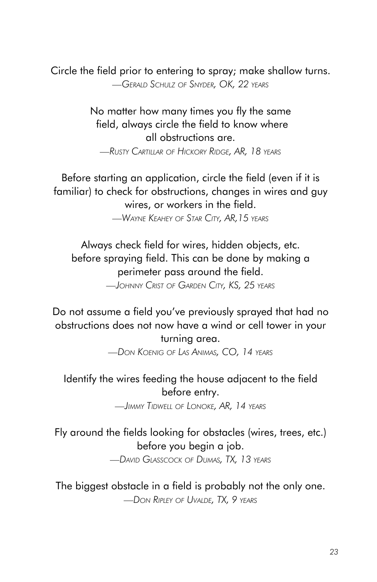Circle the field prior to entering to spray; make shallow turns. *—Gerald Schulz of Snyder, OK, 22 years*

> No matter how many times you fly the same field, always circle the field to know where all obstructions are.

*—Rusty Cartillar of Hickory Ridge, AR, 18 years*

Before starting an application, circle the field (even if it is familiar) to check for obstructions, changes in wires and guy wires, or workers in the field.

*—Wayne Keahey of Star City, AR,15 years*

Always check field for wires, hidden objects, etc. before spraying field. This can be done by making a perimeter pass around the field. *—Johnny Crist of Garden City, KS, 25 years*

Do not assume a field you've previously sprayed that had no obstructions does not now have a wind or cell tower in your

turning area. *—Don Koenig of Las Animas, CO, 14 years*

## Identify the wires feeding the house adjacent to the field before entry.

*—Jimmy Tidwell of Lonoke, AR, 14 years*

Fly around the fields looking for obstacles (wires, trees, etc.) before you begin a job.

*—David Glasscock of Dumas, TX, 13 years*

The biggest obstacle in a field is probably not the only one. *—Don Ripley of Uvalde, TX, 9 years*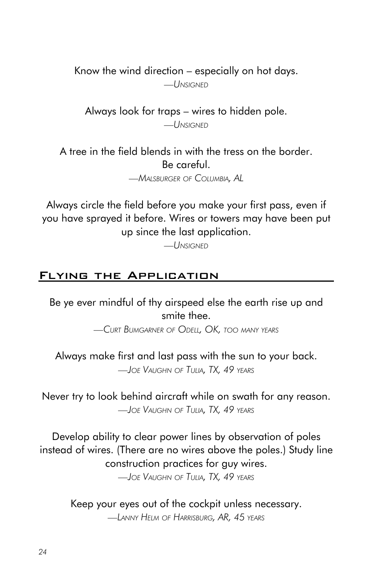Know the wind direction – especially on hot days.

*—Unsigned*

Always look for traps – wires to hidden pole. *—Unsigned*

A tree in the field blends in with the tress on the border. Be careful.

*—Malsburger of Columbia, AL*

Always circle the field before you make your first pass, even if you have sprayed it before. Wires or towers may have been put up since the last application.

*—Unsigned*

#### Flying the Application

Be ye ever mindful of thy airspeed else the earth rise up and smite thee.

*—Curt Bumgarner of Odell, OK, too many years*

Always make first and last pass with the sun to your back. *—Joe Vaughn of Tulia, TX, 49 years*

Never try to look behind aircraft while on swath for any reason. *—Joe Vaughn of Tulia, TX, 49 years*

Develop ability to clear power lines by observation of poles instead of wires. (There are no wires above the poles.) Study line construction practices for guy wires.

*—Joe Vaughn of Tulia, TX, 49 years*

Keep your eyes out of the cockpit unless necessary. *—Lanny Helm of Harrisburg, AR, 45 years*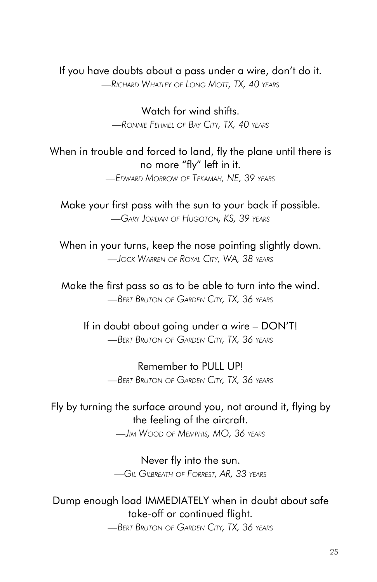#### If you have doubts about a pass under a wire, don't do it.

*—Richard Whatley of Long Mott, TX, 40 years*

Watch for wind shifts. *—Ronnie Fehmel of Bay City, TX, 40 years*

## When in trouble and forced to land, fly the plane until there is no more "fly" left in it.

*—Edward Morrow of Tekamah, NE, 39 years*

Make your first pass with the sun to your back if possible. *—Gary Jordan of Hugoton, KS, 39 years*

When in your turns, keep the nose pointing slightly down. *—Jock Warren of Royal City, WA, 38 years*

Make the first pass so as to be able to turn into the wind. *—Bert Bruton of Garden City, TX, 36 years*

If in doubt about going under a wire – DON'T! *—Bert Bruton of Garden City, TX, 36 years*

> Remember to PULL UP! *—Bert Bruton of Garden City, TX, 36 years*

## Fly by turning the surface around you, not around it, flying by the feeling of the aircraft.

*—Jim Wood of Memphis, MO, 36 years*

Never fly into the sun. *—Gil Gilbreath of Forrest, AR, 33 years*

#### Dump enough load IMMEDIATELY when in doubt about safe take-off or continued flight.

*—Bert Bruton of Garden City, TX, 36 years*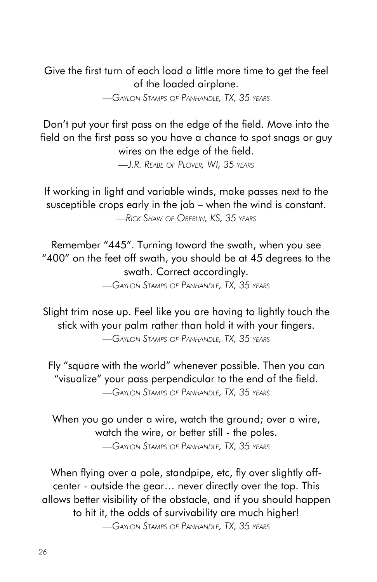Give the first turn of each load a little more time to get the feel of the loaded airplane.

*—Gaylon Stamps of Panhandle, TX, 35 years*

Don't put your first pass on the edge of the field. Move into the field on the first pass so you have a chance to spot snags or guy wires on the edge of the field.

*—J.R. Reabe of Plover, WI, 35 years*

If working in light and variable winds, make passes next to the susceptible crops early in the job – when the wind is constant. *—Rick Shaw of Oberlin, KS, 35 years*

Remember "445". Turning toward the swath, when you see "400" on the feet off swath, you should be at 45 degrees to the swath. Correct accordingly.

*—Gaylon Stamps of Panhandle, TX, 35 years*

Slight trim nose up. Feel like you are having to lightly touch the stick with your palm rather than hold it with your fingers. *—Gaylon Stamps of Panhandle, TX, 35 years*

Fly "square with the world" whenever possible. Then you can "visualize" your pass perpendicular to the end of the field. *—Gaylon Stamps of Panhandle, TX, 35 years*

When you go under a wire, watch the ground; over a wire, watch the wire, or better still - the poles. *—Gaylon Stamps of Panhandle, TX, 35 years*

When flying over a pole, standpipe, etc, fly over slightly offcenter - outside the gear… never directly over the top. This allows better visibility of the obstacle, and if you should happen to hit it, the odds of survivability are much higher!

*—Gaylon Stamps of Panhandle, TX, 35 years*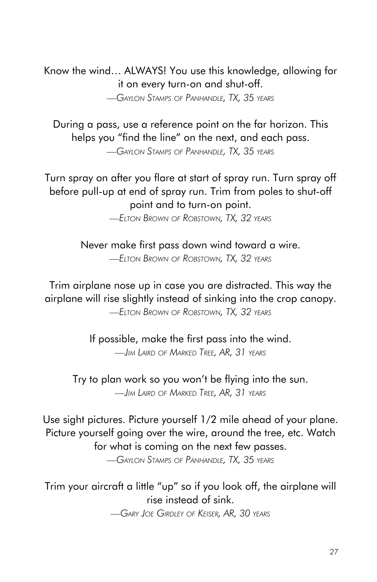Know the wind… ALWAYS! You use this knowledge, allowing for it on every turn-on and shut-off. *—Gaylon Stamps of Panhandle, TX, 35 years*

During a pass, use a reference point on the far horizon. This helps you "find the line" on the next, and each pass.

*—Gaylon Stamps of Panhandle, TX, 35 years*

Turn spray on after you flare at start of spray run. Turn spray off before pull-up at end of spray run. Trim from poles to shut-off point and to turn-on point.

*—Elton Brown of Robstown, TX, 32 years*

Never make first pass down wind toward a wire. *—Elton Brown of Robstown, TX, 32 years*

Trim airplane nose up in case you are distracted. This way the airplane will rise slightly instead of sinking into the crop canopy. *—Elton Brown of Robstown, TX, 32 years*

> If possible, make the first pass into the wind. *—Jim Laird of Marked Tree, AR, 31 years*

Try to plan work so you won't be flying into the sun. *—Jim Laird of Marked Tree, AR, 31 years*

Use sight pictures. Picture yourself 1/2 mile ahead of your plane. Picture yourself going over the wire, around the tree, etc. Watch for what is coming on the next few passes. *—Gaylon Stamps of Panhandle, TX, 35 years*

Trim your aircraft a little "up" so if you look off, the airplane will rise instead of sink.

*—Gary Joe Girdley of Keiser, AR, 30 years*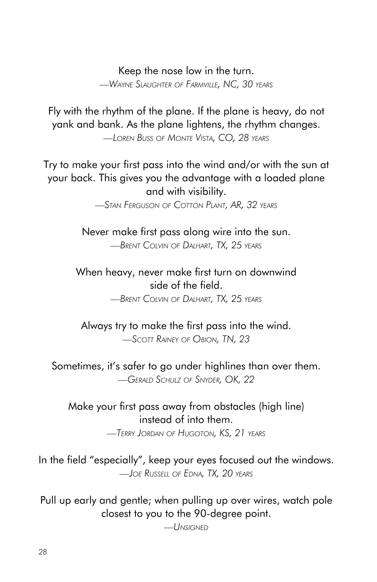#### Keep the nose low in the turn.

*—Wayne Slaughter of Farmville, NC, 30 years*

Fly with the rhythm of the plane. If the plane is heavy, do not yank and bank. As the plane lightens, the rhythm changes.

*—Loren Buss of Monte Vista, CO, 28 years*

Try to make your first pass into the wind and/or with the sun at your back. This gives you the advantage with a loaded plane and with visibility.

*—Stan Ferguson of Cotton Plant, AR, 32 years*

Never make first pass along wire into the sun. *—Brent Colvin of Dalhart, TX, 25 years*

When heavy, never make first turn on downwind side of the field.

*—Brent Colvin of Dalhart, TX, 25 years*

Always try to make the first pass into the wind. *—Scott Rainey of Obion, TN, 23*

Sometimes, it's safer to go under highlines than over them. *—Gerald Schulz of Snyder, OK, 22*

#### Make your first pass away from obstacles (high line) instead of into them.

*—Terry Jordan of Hugoton, KS, 21 years*

In the field "especially", keep your eyes focused out the windows. *—Joe Russell of Edna, TX, 20 years*

Pull up early and gentle; when pulling up over wires, watch pole closest to you to the 90-degree point.

*—Unsigned*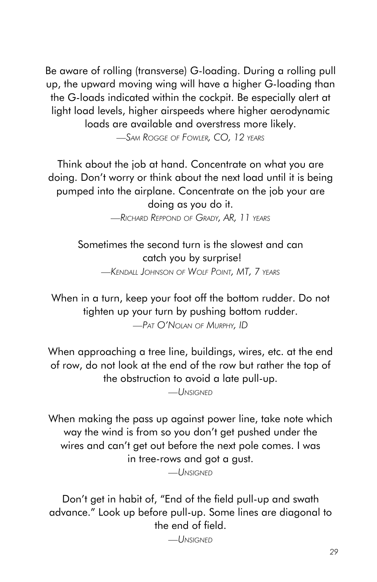Be aware of rolling (transverse) G-loading. During a rolling pull up, the upward moving wing will have a higher G-loading than the G-loads indicated within the cockpit. Be especially alert at light load levels, higher airspeeds where higher aerodynamic loads are available and overstress more likely.

*—Sam Rogge of Fowler, CO, 12 years*

Think about the job at hand. Concentrate on what you are doing. Don't worry or think about the next load until it is being pumped into the airplane. Concentrate on the job your are doing as you do it.

*—Richard Reppond of Grady, AR, 11 years*

Sometimes the second turn is the slowest and can catch you by surprise! *—Kendall Johnson of Wolf Point, MT, 7 years*

When in a turn, keep your foot off the bottom rudder. Do not tighten up your turn by pushing bottom rudder. *—Pat O'Nolan of Murphy, ID*

When approaching a tree line, buildings, wires, etc. at the end of row, do not look at the end of the row but rather the top of the obstruction to avoid a late pull-up.

*—Unsigned*

When making the pass up against power line, take note which way the wind is from so you don't get pushed under the wires and can't get out before the next pole comes. I was in tree-rows and got a gust.

*—Unsigned*

Don't get in habit of, "End of the field pull-up and swath advance." Look up before pull-up. Some lines are diagonal to the end of field.

*—Unsigned*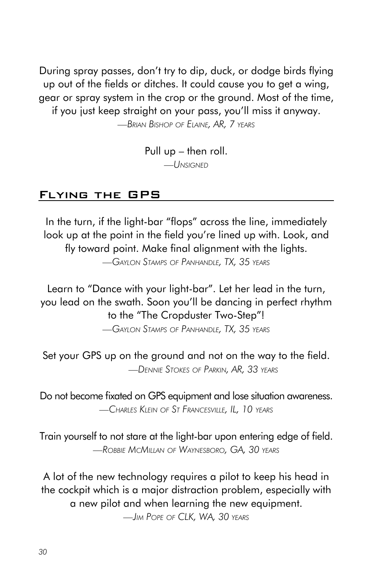During spray passes, don't try to dip, duck, or dodge birds flying up out of the fields or ditches. It could cause you to get a wing, gear or spray system in the crop or the ground. Most of the time, if you just keep straight on your pass, you'll miss it anyway.

*—Brian Bishop of Elaine, AR, 7 years*

Pull up – then roll. *—Unsigned*

#### Flying the GPS

In the turn, if the light-bar "flops" across the line, immediately look up at the point in the field you're lined up with. Look, and fly toward point. Make final alignment with the lights.

*—Gaylon Stamps of Panhandle, TX, 35 years*

Learn to "Dance with your light-bar". Let her lead in the turn, you lead on the swath. Soon you'll be dancing in perfect rhythm to the "The Cropduster Two-Step"!

*—Gaylon Stamps of Panhandle, TX, 35 years*

Set your GPS up on the ground and not on the way to the field. *—Dennie Stokes of Parkin, AR, 33 years*

Do not become fixated on GPS equipment and lose situation awareness. *—Charles Klein of St Francesville, IL, 10 years*

Train yourself to not stare at the light-bar upon entering edge of field. *—Robbie McMillan of Waynesboro, GA, 30 years*

A lot of the new technology requires a pilot to keep his head in the cockpit which is a major distraction problem, especially with a new pilot and when learning the new equipment.

*—Jim Pope of CLK, WA, 30 years*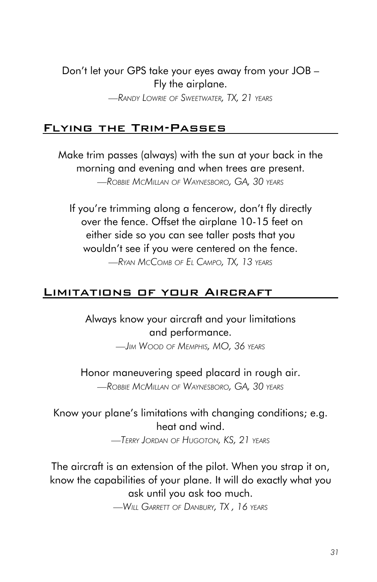Don't let your GPS take your eyes away from your JOB – Fly the airplane.

*—Randy Lowrie of Sweetwater, TX, 21 years*

#### Flying the Trim-Passes

Make trim passes (always) with the sun at your back in the morning and evening and when trees are present. *—Robbie McMillan of Waynesboro, GA, 30 years*

If you're trimming along a fencerow, don't fly directly over the fence. Offset the airplane 10-15 feet on either side so you can see taller posts that you wouldn't see if you were centered on the fence.

*—Ryan McComb of El Campo, TX, 13 years*

#### Limitations of your Aircraft

Always know your aircraft and your limitations and performance.

*—Jim Wood of Memphis, MO, 36 years*

Honor maneuvering speed placard in rough air. *—Robbie McMillan of Waynesboro, GA, 30 years*

## Know your plane's limitations with changing conditions; e.g. heat and wind.

*—Terry Jordan of Hugoton, KS, 21 years*

The aircraft is an extension of the pilot. When you strap it on, know the capabilities of your plane. It will do exactly what you ask until you ask too much.

*—Will Garrett of Danbury, TX , 16 years*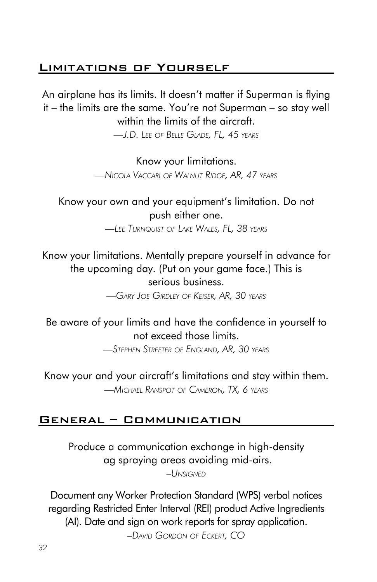## Limitations of Yourself

An airplane has its limits. It doesn't matter if Superman is flying it – the limits are the same. You're not Superman – so stay well within the limits of the aircraft.

*—J.D. Lee of Belle Glade, FL, 45 years*

Know your limitations. *—Nicola Vaccari of Walnut Ridge, AR, 47 years*

Know your own and your equipment's limitation. Do not push either one.

*—Lee Turnquist of Lake Wales, FL, 38 years*

Know your limitations. Mentally prepare yourself in advance for the upcoming day. (Put on your game face.) This is serious business.

*—Gary Joe Girdley of Keiser, AR, 30 years*

## Be aware of your limits and have the confidence in yourself to not exceed those limits.

*—Stephen Streeter of England, AR, 30 years*

Know your and your aircraft's limitations and stay within them. *—Michael Ranspot of Cameron, TX, 6 years*

#### General – Communication

Produce a communication exchange in high-density ag spraying areas avoiding mid-airs.

*–Unsigned*

Document any Worker Protection Standard (WPS) verbal notices regarding Restricted Enter Interval (REI) product Active Ingredients (AI). Date and sign on work reports for spray application. *–David Gordon of Eckert, CO*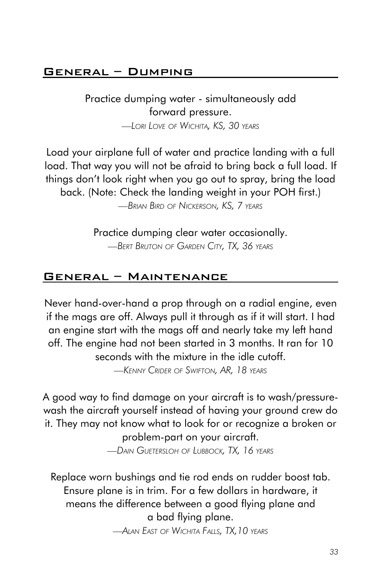## General – Dumping

Practice dumping water - simultaneously add forward pressure. *—Lori Love of Wichita, KS, 30 years*

Load your airplane full of water and practice landing with a full load. That way you will not be afraid to bring back a full load. If things don't look right when you go out to spray, bring the load back. (Note: Check the landing weight in your POH first.) *—Brian Bird of Nickerson, KS, 7 years*

> Practice dumping clear water occasionally. *—Bert Bruton of Garden City, TX, 36 years*

## General – Maintenance

Never hand-over-hand a prop through on a radial engine, even if the mags are off. Always pull it through as if it will start. I had an engine start with the mags off and nearly take my left hand off. The engine had not been started in 3 months. It ran for 10 seconds with the mixture in the idle cutoff.

*—Kenny Crider of Swifton, AR, 18 years*

A good way to find damage on your aircraft is to wash/pressurewash the aircraft yourself instead of having your ground crew do it. They may not know what to look for or recognize a broken or problem-part on your aircraft.

*—Dain Guetersloh of Lubbock, TX, 16 years*

Replace worn bushings and tie rod ends on rudder boost tab. Ensure plane is in trim. For a few dollars in hardware, it means the difference between a good flying plane and a bad flying plane.

*—Alan East of Wichita Falls, TX,10 years*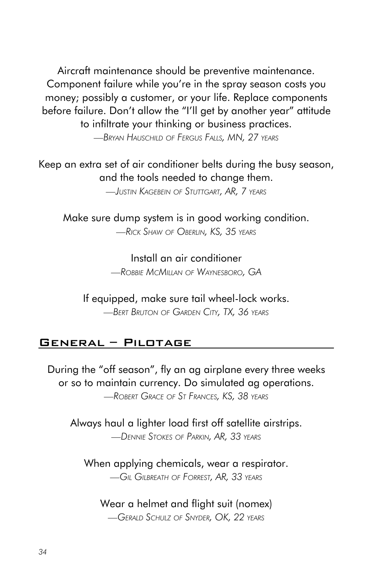Aircraft maintenance should be preventive maintenance. Component failure while you're in the spray season costs you money; possibly a customer, or your life. Replace components before failure. Don't allow the "I'll get by another year" attitude to infiltrate your thinking or business practices.

*—Bryan Hauschild of Fergus Falls, MN, 27 years*

Keep an extra set of air conditioner belts during the busy season, and the tools needed to change them.

*—Justin Kagebein of Stuttgart, AR, 7 years*

Make sure dump system is in good working condition. *—Rick Shaw of Oberlin, KS, 35 years*

> Install an air conditioner *—Robbie McMillan of Waynesboro, GA*

If equipped, make sure tail wheel-lock works. *—Bert Bruton of Garden City, TX, 36 years*

## General – Pilotage

During the "off season", fly an ag airplane every three weeks or so to maintain currency. Do simulated ag operations. *—Robert Grace of St Frances, KS, 38 years*

Always haul a lighter load first off satellite airstrips. *—Dennie Stokes of Parkin, AR, 33 years*

When applying chemicals, wear a respirator. *—Gil Gilbreath of Forrest, AR, 33 years*

## Wear a helmet and flight suit (nomex)

*—Gerald Schulz of Snyder, OK, 22 years*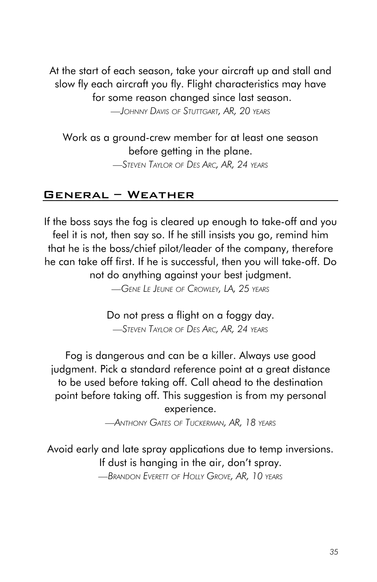At the start of each season, take your aircraft up and stall and slow fly each aircraft you fly. Flight characteristics may have for some reason changed since last season. *—Johnny Davis of Stuttgart, AR, 20 years*

Work as a ground-crew member for at least one season before getting in the plane. *—Steven Taylor of Des Arc, AR, 24 years*

## General – Weather

If the boss says the fog is cleared up enough to take-off and you feel it is not, then say so. If he still insists you go, remind him that he is the boss/chief pilot/leader of the company, therefore he can take off first. If he is successful, then you will take-off. Do not do anything against your best judgment.

*—Gene Le Jeune of Crowley, LA, 25 years*

Do not press a flight on a foggy day. *—Steven Taylor of Des Arc, AR, 24 years*

Fog is dangerous and can be a killer. Always use good judgment. Pick a standard reference point at a great distance to be used before taking off. Call ahead to the destination point before taking off. This suggestion is from my personal experience.

*—Anthony Gates of Tuckerman, AR, 18 years*

Avoid early and late spray applications due to temp inversions. If dust is hanging in the air, don't spray. *—Brandon Everett of Holly Grove, AR, 10 years*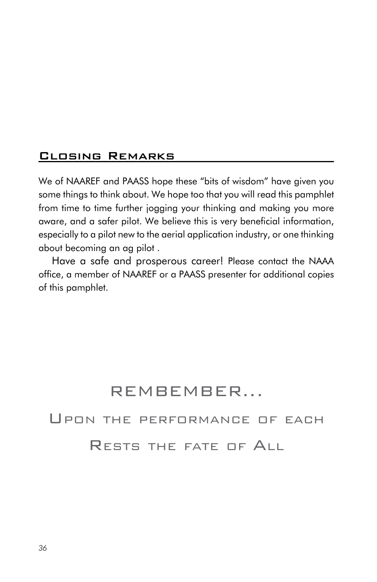#### Closing Remarks

We of NAAREF and PAASS hope these "bits of wisdom" have given you some things to think about. We hope too that you will read this pamphlet from time to time further jogging your thinking and making you more aware, and a safer pilot. We believe this is very beneficial information, especially to a pilot new to the aerial application industry, or one thinking about becoming an ag pilot .

Have a safe and prosperous career! Please contact the NAAA office, a member of NAAREF or a PAASS presenter for additional copies of this pamphlet.

## REMBEMBER...

Upon the performance of each

Rests the fate of All